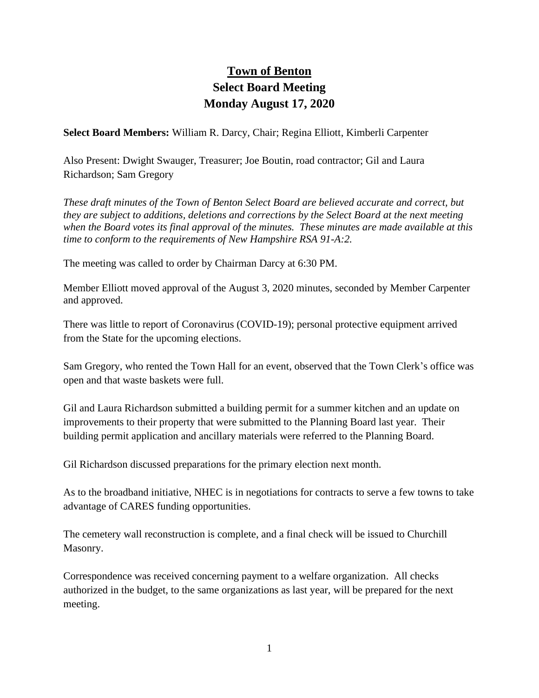## **Town of Benton Select Board Meeting Monday August 17, 2020**

**Select Board Members:** William R. Darcy, Chair; Regina Elliott, Kimberli Carpenter

Also Present: Dwight Swauger, Treasurer; Joe Boutin, road contractor; Gil and Laura Richardson; Sam Gregory

*These draft minutes of the Town of Benton Select Board are believed accurate and correct, but they are subject to additions, deletions and corrections by the Select Board at the next meeting when the Board votes its final approval of the minutes. These minutes are made available at this time to conform to the requirements of New Hampshire RSA 91-A:2.*

The meeting was called to order by Chairman Darcy at 6:30 PM.

Member Elliott moved approval of the August 3, 2020 minutes, seconded by Member Carpenter and approved.

There was little to report of Coronavirus (COVID-19); personal protective equipment arrived from the State for the upcoming elections.

Sam Gregory, who rented the Town Hall for an event, observed that the Town Clerk's office was open and that waste baskets were full.

Gil and Laura Richardson submitted a building permit for a summer kitchen and an update on improvements to their property that were submitted to the Planning Board last year. Their building permit application and ancillary materials were referred to the Planning Board.

Gil Richardson discussed preparations for the primary election next month.

As to the broadband initiative, NHEC is in negotiations for contracts to serve a few towns to take advantage of CARES funding opportunities.

The cemetery wall reconstruction is complete, and a final check will be issued to Churchill Masonry.

Correspondence was received concerning payment to a welfare organization. All checks authorized in the budget, to the same organizations as last year, will be prepared for the next meeting.